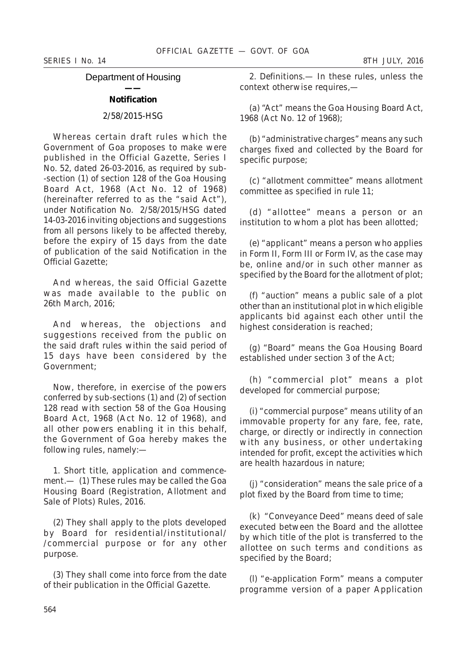*SERIES I No. 14 8TH JULY, 2016*

# Department of Housing

# **—— Notification**

# 2/58/2015-HSG

Whereas certain draft rules which the Government of Goa proposes to make were published in the Official Gazette, Series I No. 52, dated 26-03-2016, as required by sub- -section (*1*) of section 128 of the Goa Housing Board Act, 1968 (Act No. 12 of 1968) (hereinafter referred to as the "said Act"), under Notification No. 2/58/2015/HSG dated 14-03-2016 inviting objections and suggestions from all persons likely to be affected thereby, before the expiry of 15 days from the date of publication of the said Notification in the Official Gazette;

And whereas, the said Official Gazette was made available to the public on 26th March, 2016;

And whereas, the objections and suggestions received from the public on the said draft rules within the said period of 15 days have been considered by the Government;

Now, therefore, in exercise of the powers conferred by sub-sections (*1*) and (*2*) of section 128 read with section 58 of the Goa Housing Board Act, 1968 (Act No. 12 of 1968), and all other powers enabling it in this behalf, the Government of Goa hereby makes the following rules, namely:—

1. *Short title, application and commencement*.— (*1*) These rules may be called the Goa Housing Board (Registration, Allotment and Sale of Plots) Rules, 2016.

(*2*) They shall apply to the plots developed by Board for residential/institutional/ /commercial purpose or for any other purpose.

(*3*) They shall come into force from the date of their publication in the Official Gazette.

2. *Definitions*.— In these rules, unless the context otherwise requires,—

(*a*) "Act" means the Goa Housing Board Act, 1968 (Act No. 12 of 1968);

(*b*) "administrative charges" means any such charges fixed and collected by the Board for specific purpose;

(*c*) "allotment committee" means allotment committee as specified in rule 11;

(*d*) "allottee" means a person or an institution to whom a plot has been allotted;

(*e*) "applicant" means a person who applies in Form II, Form III or Form IV, as the case may be, online and/or in such other manner as specified by the Board for the allotment of plot;

(*f*) "auction" means a public sale of a plot other than an institutional plot in which eligible applicants bid against each other until the highest consideration is reached;

(*g*) "Board" means the Goa Housing Board established under section 3 of the Act;

(h) "commercial plot" means a plot developed for commercial purpose;

(*i*) "commercial purpose" means utility of an immovable property for any fare, fee, rate, charge, or directly or indirectly in connection with any business, or other undertaking intended for profit, except the activities which are health hazardous in nature;

(*j*) "consideration" means the sale price of a plot fixed by the Board from time to time;

(*k*) "Conveyance Deed" means deed of sale executed between the Board and the allottee by which title of the plot is transferred to the allottee on such terms and conditions as specified by the Board;

(*l*) "e-application Form" means a computer programme version of a paper Application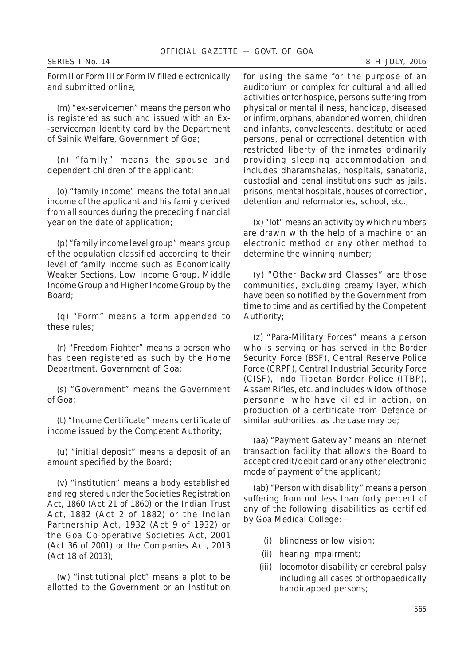Form II or Form III or Form IV filled electronically and submitted online;

(*m*) "ex-servicemen" means the person who is registered as such and issued with an Ex- -serviceman Identity card by the Department of Sainik Welfare, Government of Goa;

(*n*) "family" means the spouse and dependent children of the applicant;

(*o*) "family income" means the total annual income of the applicant and his family derived from all sources during the preceding financial year on the date of application;

(*p*) "family income level group" means group of the population classified according to their level of family income such as Economically Weaker Sections, Low Income Group, Middle Income Group and Higher Income Group by the Board;

(*q*) "Form" means a form appended to these rules;

(*r*) "Freedom Fighter" means a person who has been registered as such by the Home Department, Government of Goa;

(*s*) "Government" means the Government of Goa;

(*t*) "Income Certificate" means certificate of income issued by the Competent Authority;

(*u*) "initial deposit" means a deposit of an amount specified by the Board;

(*v*) "institution" means a body established and registered under the Societies Registration Act, 1860 (Act 21 of 1860) or the Indian Trust Act, 1882 (Act 2 of 1882) or the Indian Partnership Act, 1932 (Act 9 of 1932) or the Goa Co-operative Societies Act, 2001 (Act 36 of 2001) or the Companies Act, 2013 (Act 18 of 2013);

(*w*) "institutional plot" means a plot to be allotted to the Government or an Institution

for using the same for the purpose of an auditorium or complex for cultural and allied activities or for hospice, persons suffering from physical or mental illness, handicap, diseased or infirm, orphans, abandoned women, children and infants, convalescents, destitute or aged persons, penal or correctional detention with restricted liberty of the inmates ordinarily providing sleeping accommodation and includes dharamshalas, hospitals, sanatoria, custodial and penal institutions such as jails, prisons, mental hospitals, houses of correction, detention and reformatories, school, etc.;

(*x*) "lot" means an activity by which numbers are drawn with the help of a machine or an electronic method or any other method to determine the winning number;

(*y*) "Other Backward Classes" are those communities, excluding creamy layer, which have been so notified by the Government from time to time and as certified by the Competent Authority;

(*z*) "Para-Military Forces" means a person who is serving or has served in the Border Security Force (BSF), Central Reserve Police Force (CRPF), Central Industrial Security Force (CISF), Indo Tibetan Border Police (ITBP), Assam Rifles, etc. and includes widow of those personnel who have killed in action, on production of a certificate from Defence or similar authorities, as the case may be;

(*aa*) "Payment Gateway" means an internet transaction facility that allows the Board to accept credit/debit card or any other electronic mode of payment of the applicant;

(*ab*) "Person with disability" means a person suffering from not less than forty percent of any of the following disabilities as certified by Goa Medical College:—

- (*i*) blindness or low vision;
- (*ii*) hearing impairment;
- (*iii*) locomotor disability or cerebral palsy including all cases of orthopaedically handicapped persons;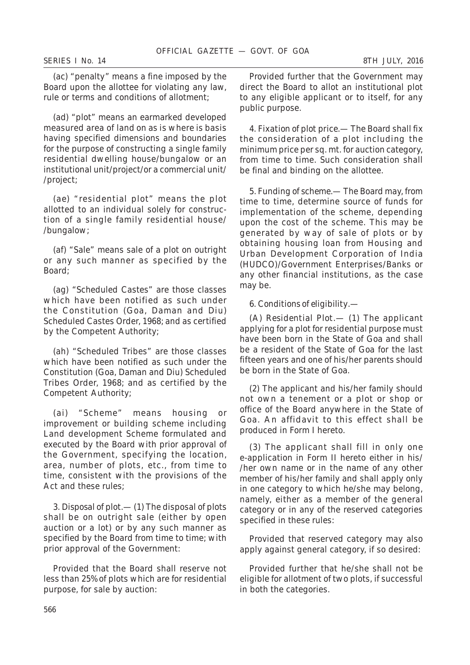(*ac*) "penalty" means a fine imposed by the Board upon the allottee for violating any law, rule or terms and conditions of allotment;

(*ad*) "plot" means an earmarked developed measured area of land on as is where is basis having specified dimensions and boundaries for the purpose of constructing a single family residential dwelling house/bungalow or an institutional unit/project/or a commercial unit/ /project;

(*ae*) "residential plot" means the plot allotted to an individual solely for construction of a single family residential house/ /bungalow;

(*af*) "Sale" means sale of a plot on outright or any such manner as specified by the Board;

(*ag*) "Scheduled Castes" are those classes which have been notified as such under the Constitution (Goa, Daman and Diu) Scheduled Castes Order, 1968; and as certified by the Competent Authority;

(*ah*) "Scheduled Tribes" are those classes which have been notified as such under the Constitution (Goa, Daman and Diu) Scheduled Tribes Order, 1968; and as certified by the Competent Authority;

(*ai*) "Scheme" means housing or improvement or building scheme including Land development Scheme formulated and executed by the Board with prior approval of the Government, specifying the location, area, number of plots, etc., from time to time, consistent with the provisions of the Act and these rules;

3. *Disposal of plot*.— (*1*) The disposal of plots shall be on outright sale (either by open auction or a lot) or by any such manner as specified by the Board from time to time; with prior approval of the Government:

Provided that the Board shall reserve not less than 25% of plots which are for residential purpose, for sale by auction:

Provided further that the Government may direct the Board to allot an institutional plot to any eligible applicant or to itself, for any public purpose.

4. *Fixation of plot price*.— The Board shall fix the consideration of a plot including the minimum price per sq. mt. for auction category, from time to time. Such consideration shall be final and binding on the allottee.

5. *Funding of scheme*.— The Board may, from time to time, determine source of funds for implementation of the scheme, depending upon the cost of the scheme. This may be generated by way of sale of plots or by obtaining housing loan from Housing and Urban Development Corporation of India (HUDCO)/Government Enterprises/Banks or any other financial institutions, as the case may be.

# 6. *Conditions of eligibility*.—

(*A*) *Residential Plot*.— (*1*) The applicant applying for a plot for residential purpose must have been born in the State of Goa and shall be a resident of the State of Goa for the last fifteen years and one of his/her parents should be born in the State of Goa.

(*2*) The applicant and his/her family should not own a tenement or a plot or shop or office of the Board anywhere in the State of Goa. An affidavit to this effect shall be produced in Form I hereto.

(*3*) The applicant shall fill in only one e-application in Form II hereto either in his/ /her own name or in the name of any other member of his/her family and shall apply only in one category to which he/she may belong, namely, either as a member of the general category or in any of the reserved categories specified in these rules:

Provided that reserved category may also apply against general category, if so desired:

Provided further that he/she shall not be eligible for allotment of two plots, if successful in both the categories.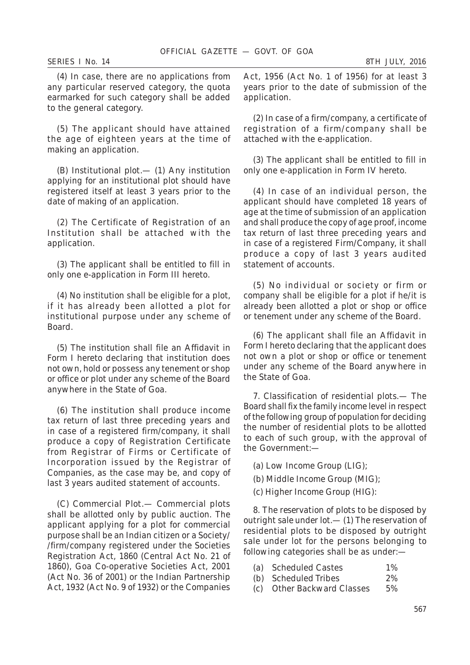(*4*) In case, there are no applications from any particular reserved category, the quota earmarked for such category shall be added to the general category.

(*5*) The applicant should have attained the age of eighteen years at the time of making an application.

(B) *Institutional plot*.— (*1*) Any institution applying for an institutional plot should have registered itself at least 3 years prior to the date of making of an application.

(*2*) The Certificate of Registration of an Institution shall be attached with the application.

(*3*) The applicant shall be entitled to fill in only one e-application in Form III hereto.

(*4*) No institution shall be eligible for a plot, if it has already been allotted a plot for institutional purpose under any scheme of Board.

(*5*) The institution shall file an Affidavit in Form I hereto declaring that institution does not own, hold or possess any tenement or shop or office or plot under any scheme of the Board anywhere in the State of Goa.

(*6*) The institution shall produce income tax return of last three preceding years and in case of a registered firm/company, it shall produce a copy of Registration Certificate from Registrar of Firms or Certificate of Incorporation issued by the Registrar of Companies, as the case may be, and copy of last 3 years audited statement of accounts.

(C) *Commercial Plot*.— Commercial plots shall be allotted only by public auction. The applicant applying for a plot for commercial purpose shall be an Indian citizen or a Society/ /firm/company registered under the Societies Registration Act, 1860 (Central Act No. 21 of 1860), Goa Co-operative Societies Act, 2001 (Act No. 36 of 2001) or the Indian Partnership Act, 1932 (Act No. 9 of 1932) or the Companies

Act, 1956 (Act No. 1 of 1956) for at least 3 years prior to the date of submission of the application.

(*2*) In case of a firm/company, a certificate of registration of a firm/company shall be attached with the e-application.

(*3*) The applicant shall be entitled to fill in only one e-application in Form IV hereto.

(*4*) In case of an individual person, the applicant should have completed 18 years of age at the time of submission of an application and shall produce the copy of age proof, income tax return of last three preceding years and in case of a registered Firm/Company, it shall produce a copy of last 3 years audited statement of accounts.

(*5*) No individual or society or firm or company shall be eligible for a plot if he/it is already been allotted a plot or shop or office or tenement under any scheme of the Board.

(*6*) The applicant shall file an Affidavit in Form I hereto declaring that the applicant does not own a plot or shop or office or tenement under any scheme of the Board anywhere in the State of Goa.

7. *Classification of residential plots*.— The Board shall fix the family income level in respect of the following group of population for deciding the number of residential plots to be allotted to each of such group, with the approval of the Government:—

- (*a*) Low Income Group (LIG);
- (*b*) Middle Income Group (MIG);
- (*c*) Higher Income Group (HIG):

8. *The reservation of plots to be disposed by outright sale under lot*.— (*1*) The reservation of residential plots to be disposed by outright sale under lot for the persons belonging to following categories shall be as under:—

- (a) Scheduled Castes 1%
- (b) Scheduled Tribes 2%
- (c) Other Backward Classes 5%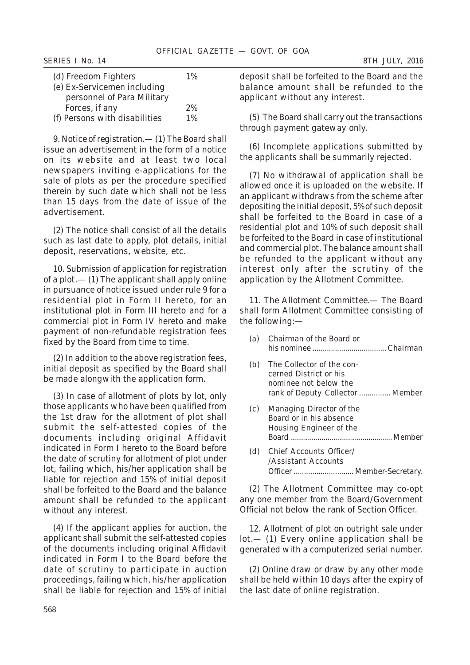| (d) Freedom Fighters          | $1\%$ |
|-------------------------------|-------|
| (e) Ex-Servicemen including   |       |
| personnel of Para Military    |       |
| Forces, if any                | 2%    |
| (f) Persons with disabilities | $1\%$ |

9. *Notice of registration*.— (*1*) The Board shall issue an advertisement in the form of a notice on its website and at least two local newspapers inviting e-applications for the sale of plots as per the procedure specified therein by such date which shall not be less than 15 days from the date of issue of the advertisement.

(*2*) The notice shall consist of all the details such as last date to apply, plot details, initial deposit, reservations, website, etc.

10. *Submission of application for registration of a plot*.— (*1*) The applicant shall apply online in pursuance of notice issued under rule 9 for a residential plot in Form II hereto, for an institutional plot in Form III hereto and for a commercial plot in Form IV hereto and make payment of non-refundable registration fees fixed by the Board from time to time.

(*2*) In addition to the above registration fees, initial deposit as specified by the Board shall be made alongwith the application form.

(*3*) In case of allotment of plots by lot, only those applicants who have been qualified from the 1st draw for the allotment of plot shall submit the self-attested copies of the documents including original Affidavit indicated in Form I hereto to the Board before the date of scrutiny for allotment of plot under lot, failing which, his/her application shall be liable for rejection and 15% of initial deposit shall be forfeited to the Board and the balance amount shall be refunded to the applicant without any interest.

(*4*) If the applicant applies for auction, the applicant shall submit the self-attested copies of the documents including original Affidavit indicated in Form I to the Board before the date of scrutiny to participate in auction proceedings, failing which, his/her application shall be liable for rejection and 15% of initial deposit shall be forfeited to the Board and the balance amount shall be refunded to the applicant without any interest.

(*5*) The Board shall carry out the transactions through payment gateway only.

(*6*) Incomplete applications submitted by the applicants shall be summarily rejected.

(*7*) No withdrawal of application shall be allowed once it is uploaded on the website. If an applicant withdraws from the scheme after depositing the initial deposit, 5% of such deposit shall be forfeited to the Board in case of a residential plot and 10% of such deposit shall be forfeited to the Board in case of institutional and commercial plot. The balance amount shall be refunded to the applicant without any interest only after the scrutiny of the application by the Allotment Committee.

11. *The Allotment Committee*.— The Board shall form Allotment Committee consisting of the following:—

| (a) | Chairman of the Board or                                                                                         |
|-----|------------------------------------------------------------------------------------------------------------------|
| (b) | The Collector of the con-<br>cerned District or his<br>nominee not below the<br>rank of Deputy Collector  Member |
| (c) | Managing Director of the<br>Board or in his absence<br>Housing Engineer of the                                   |
| (d) | Chief Accounts Officer/<br>/Assistant Accounts<br>Officer  Member-Secretary.                                     |

(*2*) The Allotment Committee may co-opt any one member from the Board/Government Official not below the rank of Section Officer.

12. *Allotment of plot on outright sale under lot*.— (*1*) Every online application shall be generated with a computerized serial number.

(*2*) Online draw or draw by any other mode shall be held within 10 days after the expiry of the last date of online registration.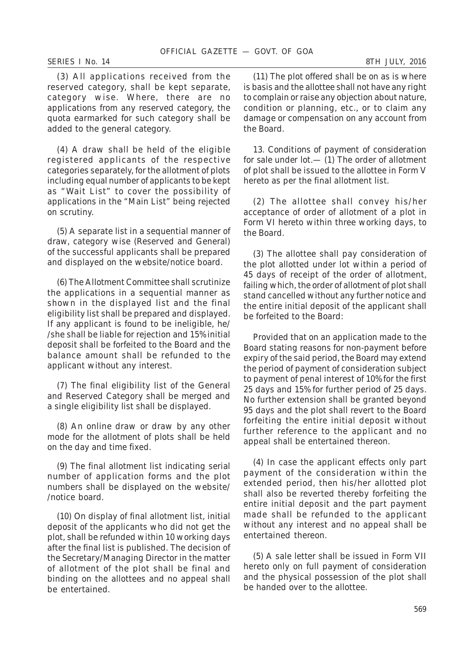(*3*) All applications received from the reserved category, shall be kept separate, category wise. Where, there are no applications from any reserved category, the quota earmarked for such category shall be added to the general category.

(*4*) A draw shall be held of the eligible registered applicants of the respective categories separately, for the allotment of plots including equal number of applicants to be kept as "Wait List" to cover the possibility of applications in the "Main List" being rejected on scrutiny.

(*5*) A separate list in a sequential manner of draw, category wise (Reserved and General) of the successful applicants shall be prepared and displayed on the website/notice board.

(*6*) The Allotment Committee shall scrutinize the applications in a sequential manner as shown in the displayed list and the final eligibility list shall be prepared and displayed. If any applicant is found to be ineligible, he/ /she shall be liable for rejection and 15% initial deposit shall be forfeited to the Board and the balance amount shall be refunded to the applicant without any interest.

(*7*) The final eligibility list of the General and Reserved Category shall be merged and a single eligibility list shall be displayed.

(*8*) An online draw or draw by any other mode for the allotment of plots shall be held on the day and time fixed.

(*9*) The final allotment list indicating serial number of application forms and the plot numbers shall be displayed on the website/ /notice board.

(*10*) On display of final allotment list, initial deposit of the applicants who did not get the plot, shall be refunded within 10 working days after the final list is published. The decision of the Secretary/Managing Director in the matter of allotment of the plot shall be final and binding on the allottees and no appeal shall be entertained.

(*11*) The plot offered shall be on as is where is basis and the allottee shall not have any right to complain or raise any objection about nature, condition or planning, etc., or to claim any damage or compensation on any account from the Board.

13. *Conditions of payment of consideration for sale under lot*.— (*1*) The order of allotment of plot shall be issued to the allottee in Form V hereto as per the final allotment list.

(*2*) The allottee shall convey his/her acceptance of order of allotment of a plot in Form VI hereto within three working days, to the Board.

(*3*) The allottee shall pay consideration of the plot allotted under lot within a period of 45 days of receipt of the order of allotment, failing which, the order of allotment of plot shall stand cancelled without any further notice and the entire initial deposit of the applicant shall be forfeited to the Board:

Provided that on an application made to the Board stating reasons for non-payment before expiry of the said period, the Board may extend the period of payment of consideration subject to payment of penal interest of 10% for the first 25 days and 15% for further period of 25 days. No further extension shall be granted beyond 95 days and the plot shall revert to the Board forfeiting the entire initial deposit without further reference to the applicant and no appeal shall be entertained thereon.

(*4*) In case the applicant effects only part payment of the consideration within the extended period, then his/her allotted plot shall also be reverted thereby forfeiting the entire initial deposit and the part payment made shall be refunded to the applicant without any interest and no appeal shall be entertained thereon.

(*5*) A sale letter shall be issued in Form VII hereto only on full payment of consideration and the physical possession of the plot shall be handed over to the allottee.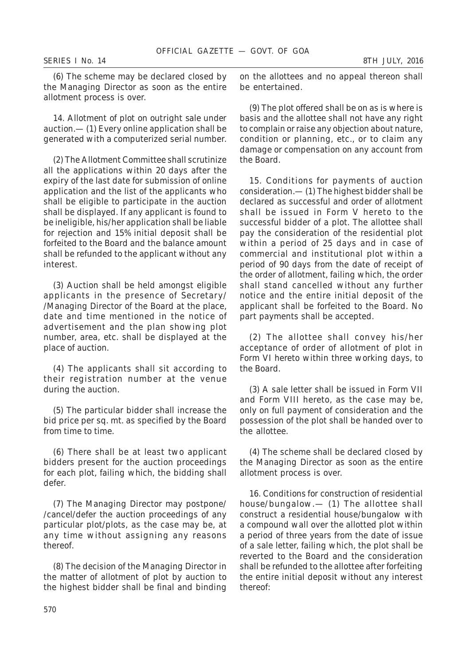(*6*) The scheme may be declared closed by the Managing Director as soon as the entire allotment process is over.

14. *Allotment of plot on outright sale under auction*.— (*1*) Every online application shall be generated with a computerized serial number.

(*2*) The Allotment Committee shall scrutinize all the applications within 20 days after the expiry of the last date for submission of online application and the list of the applicants who shall be eligible to participate in the auction shall be displayed. If any applicant is found to be ineligible, his/her application shall be liable for rejection and 15% initial deposit shall be forfeited to the Board and the balance amount shall be refunded to the applicant without any interest.

(*3*) Auction shall be held amongst eligible applicants in the presence of Secretary/ /Managing Director of the Board at the place, date and time mentioned in the notice of advertisement and the plan showing plot number, area, etc. shall be displayed at the place of auction.

(*4*) The applicants shall sit according to their registration number at the venue during the auction.

(*5*) The particular bidder shall increase the bid price per sq. mt. as specified by the Board from time to time.

(*6*) There shall be at least two applicant bidders present for the auction proceedings for each plot, failing which, the bidding shall defer.

(*7*) The Managing Director may postpone/ /cancel/defer the auction proceedings of any particular plot/plots, as the case may be, at any time without assigning any reasons thereof.

(*8*) The decision of the Managing Director in the matter of allotment of plot by auction to the highest bidder shall be final and binding

on the allottees and no appeal thereon shall be entertained.

(*9*) The plot offered shall be on as is where is basis and the allottee shall not have any right to complain or raise any objection about nature, condition or planning, etc., or to claim any damage or compensation on any account from the Board.

15. *Conditions for payments of auction consideration*.— (*1*) The highest bidder shall be declared as successful and order of allotment shall be issued in Form V hereto to the successful bidder of a plot. The allottee shall pay the consideration of the residential plot within a period of 25 days and in case of commercial and institutional plot within a period of 90 days from the date of receipt of the order of allotment, failing which, the order shall stand cancelled without any further notice and the entire initial deposit of the applicant shall be forfeited to the Board. No part payments shall be accepted.

(*2*) The allottee shall convey his/her acceptance of order of allotment of plot in Form VI hereto within three working days, to the Board.

(*3*) A sale letter shall be issued in Form VII and Form VIII hereto, as the case may be, only on full payment of consideration and the possession of the plot shall be handed over to the allottee.

(*4*) The scheme shall be declared closed by the Managing Director as soon as the entire allotment process is over.

16. *Conditions for construction of residential house/bungalow*.— (*1*) The allottee shall construct a residential house/bungalow with a compound wall over the allotted plot within a period of three years from the date of issue of a sale letter, failing which, the plot shall be reverted to the Board and the consideration shall be refunded to the allottee after forfeiting the entire initial deposit without any interest thereof: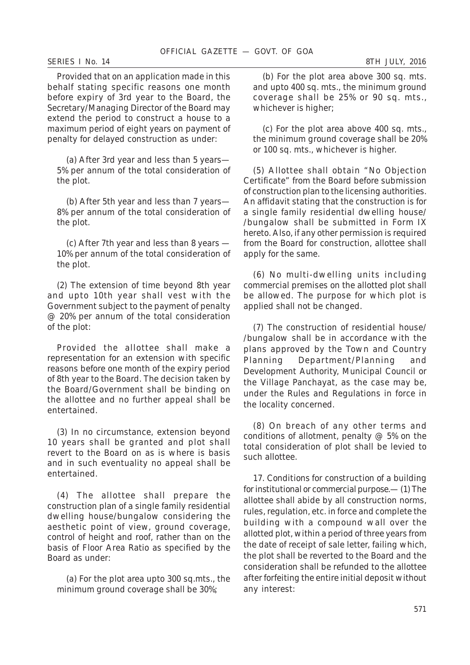#### *SERIES I No. 14 8TH JULY, 2016*

Provided that on an application made in this behalf stating specific reasons one month before expiry of 3rd year to the Board, the Secretary/Managing Director of the Board may extend the period to construct a house to a maximum period of eight years on payment of penalty for delayed construction as under:

(*a*) After 3rd year and less than 5 years— 5% per annum of the total consideration of the plot.

(*b*) After 5th year and less than 7 years— 8% per annum of the total consideration of the plot.

(*c*) After 7th year and less than 8 years — 10% per annum of the total consideration of the plot.

(*2*) The extension of time beyond 8th year and upto 10th year shall vest with the Government subject to the payment of penalty @ 20% per annum of the total consideration of the plot:

Provided the allottee shall make a representation for an extension with specific reasons before one month of the expiry period of 8th year to the Board. The decision taken by the Board/Government shall be binding on the allottee and no further appeal shall be entertained.

(*3*) In no circumstance, extension beyond 10 years shall be granted and plot shall revert to the Board on as is where is basis and in such eventuality no appeal shall be entertained.

(*4*) The allottee shall prepare the construction plan of a single family residential dwelling house/bungalow considering the aesthetic point of view, ground coverage, control of height and roof, rather than on the basis of Floor Area Ratio as specified by the Board as under:

(a) For the plot area upto 300 sq.mts., the minimum ground coverage shall be 30%;

(*b*) For the plot area above 300 sq. mts. and upto 400 sq. mts., the minimum ground coverage shall be 25% or 90 sq. mts., whichever is higher;

(*c*) For the plot area above 400 sq. mts., the minimum ground coverage shall be 20% or 100 sq. mts., whichever is higher.

(*5*) Allottee shall obtain "No Objection Certificate" from the Board before submission of construction plan to the licensing authorities. An affidavit stating that the construction is for a single family residential dwelling house/ /bungalow shall be submitted in Form IX hereto. Also, if any other permission is required from the Board for construction, allottee shall apply for the same.

(*6*) No multi-dwelling units including commercial premises on the allotted plot shall be allowed. The purpose for which plot is applied shall not be changed.

(*7*) The construction of residential house/ /bungalow shall be in accordance with the plans approved by the Town and Country Planning Department/Planning and Development Authority, Municipal Council or the Village Panchayat, as the case may be, under the Rules and Regulations in force in the locality concerned.

(*8*) On breach of any other terms and conditions of allotment, penalty @ 5% on the total consideration of plot shall be levied to such allottee.

17. *Conditions for construction of a building for institutional or commercial purpose*.— (*1*) The allottee shall abide by all construction norms, rules, regulation, etc. in force and complete the building with a compound wall over the allotted plot, within a period of three years from the date of receipt of sale letter, failing which, the plot shall be reverted to the Board and the consideration shall be refunded to the allottee after forfeiting the entire initial deposit without any interest: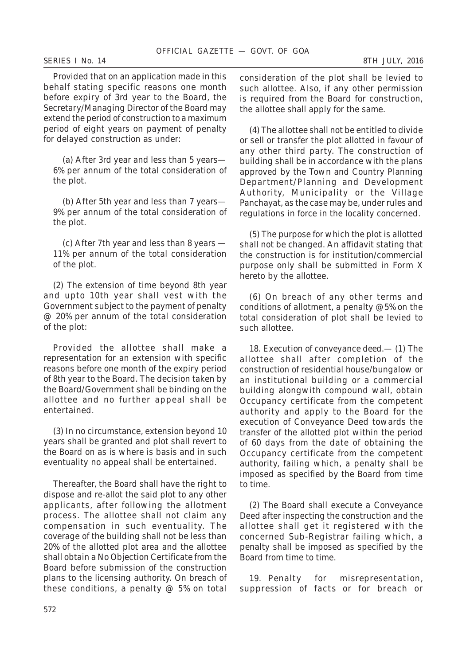Provided that on an application made in this behalf stating specific reasons one month before expiry of 3rd year to the Board, the Secretary/Managing Director of the Board may extend the period of construction to a maximum period of eight years on payment of penalty for delayed construction as under:

(*a*) After 3rd year and less than 5 years— 6% per annum of the total consideration of the plot.

(*b*) After 5th year and less than 7 years— 9% per annum of the total consideration of the plot.

(*c*) After 7th year and less than 8 years — 11% per annum of the total consideration of the plot.

(*2*) The extension of time beyond 8th year and upto 10th year shall vest with the Government subject to the payment of penalty @ 20% per annum of the total consideration of the plot:

Provided the allottee shall make a representation for an extension with specific reasons before one month of the expiry period of 8th year to the Board. The decision taken by the Board/Government shall be binding on the allottee and no further appeal shall be entertained.

(*3*) In no circumstance, extension beyond 10 years shall be granted and plot shall revert to the Board on as is where is basis and in such eventuality no appeal shall be entertained.

Thereafter, the Board shall have the right to dispose and re-allot the said plot to any other applicants, after following the allotment process. The allottee shall not claim any compensation in such eventuality. The coverage of the building shall not be less than 20% of the allotted plot area and the allottee shall obtain a No Objection Certificate from the Board before submission of the construction plans to the licensing authority. On breach of these conditions, a penalty  $@$  5% on total consideration of the plot shall be levied to such allottee. Also, if any other permission is required from the Board for construction, the allottee shall apply for the same.

(*4*) The allottee shall not be entitled to divide or sell or transfer the plot allotted in favour of any other third party. The construction of building shall be in accordance with the plans approved by the Town and Country Planning Department/Planning and Development Authority, Municipality or the Village Panchayat, as the case may be, under rules and regulations in force in the locality concerned.

(*5*) The purpose for which the plot is allotted shall not be changed. An affidavit stating that the construction is for institution/commercial purpose only shall be submitted in Form X hereto by the allottee.

(*6*) On breach of any other terms and conditions of allotment, a penalty @5% on the total consideration of plot shall be levied to such allottee.

18. *Execution of conveyance deed*.— (*1*) The allottee shall after completion of the construction of residential house/bungalow or an institutional building or a commercial building alongwith compound wall, obtain Occupancy certificate from the competent authority and apply to the Board for the execution of Conveyance Deed towards the transfer of the allotted plot within the period of 60 days from the date of obtaining the Occupancy certificate from the competent authority, failing which, a penalty shall be imposed as specified by the Board from time to time.

(*2*) The Board shall execute a Conveyance Deed after inspecting the construction and the allottee shall get it registered with the concerned Sub-Registrar failing which, a penalty shall be imposed as specified by the Board from time to time.

19. *Penalty for misrepresentation, suppression of facts or for breach or*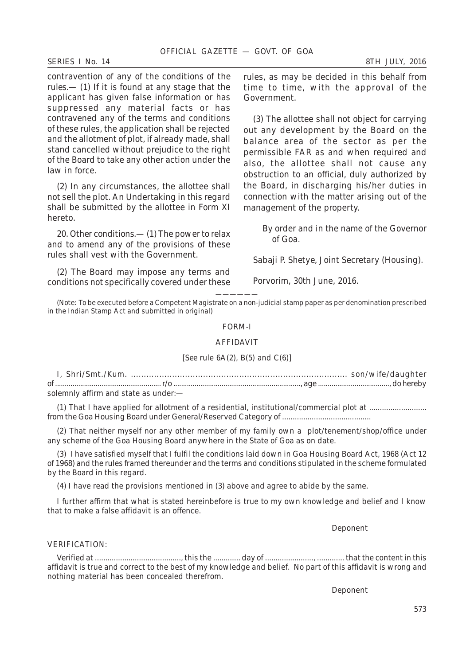#### *SERIES I No. 14 8TH JULY, 2016*

*contravention of any of the conditions of the rules*.— (*1*) If it is found at any stage that the applicant has given false information or has suppressed any material facts or has contravened any of the terms and conditions of these rules, the application shall be rejected and the allotment of plot, if already made, shall stand cancelled without prejudice to the right of the Board to take any other action under the law in force.

(*2*) In any circumstances, the allottee shall not sell the plot. An Undertaking in this regard shall be submitted by the allottee in Form XI hereto.

20. *Other conditions*.— (*1*) The power to relax and to amend any of the provisions of these rules shall vest with the Government.

(*2*) The Board may impose any terms and conditions not specifically covered under these

rules, as may be decided in this behalf from time to time, with the approval of the Government.

(*3*) The allottee shall not object for carrying out any development by the Board on the balance area of the sector as per the permissible FAR as and when required and also, the allottee shall not cause any obstruction to an official, duly authorized by the Board, in discharging his/her duties in connection with the matter arising out of the management of the property.

> By order and in the name of the Governor of Goa.

*Sabaji P. Shetye*, Joint Secretary (Housing).

Porvorim, 30th June, 2016.

—————— (*Note:* To be executed before a Competent Magistrate on a non-judicial stamp paper as per denomination prescribed in the Indian Stamp Act and submitted in original)

#### FORM-I

## AFFIDAVIT

# [*See* rule 6A(*2*), B(*5*) and C(*6*)]

I, Shri/Smt./Kum. .................................................................................... son/wife/daughter of ....................................................... r/o .................................................................., age ....................................., do hereby solemnly affirm and state as under:—

(1) That I have applied for allotment of a residential, institutional/commercial plot at ........................... from the Goa Housing Board under General/Reserved Category of ..........................................

(2) That neither myself nor any other member of my family own a plot/tenement/shop/office under any scheme of the Goa Housing Board anywhere in the State of Goa as on date.

(3) I have satisfied myself that I fulfil the conditions laid down in Goa Housing Board Act, 1968 (Act 12 of 1968) and the rules framed thereunder and the terms and conditions stipulated in the scheme formulated by the Board in this regard.

(4) I have read the provisions mentioned in (*3*) above and agree to abide by the same.

I further affirm that what is stated hereinbefore is true to my own knowledge and belief and I know that to make a false affidavit is an offence.

Deponent

# VERIFICATION:

Verified at ........................................., this the ............. day of ......................., ............. that the content in this affidavit is true and correct to the best of my knowledge and belief. No part of this affidavit is wrong and nothing material has been concealed therefrom.

Deponent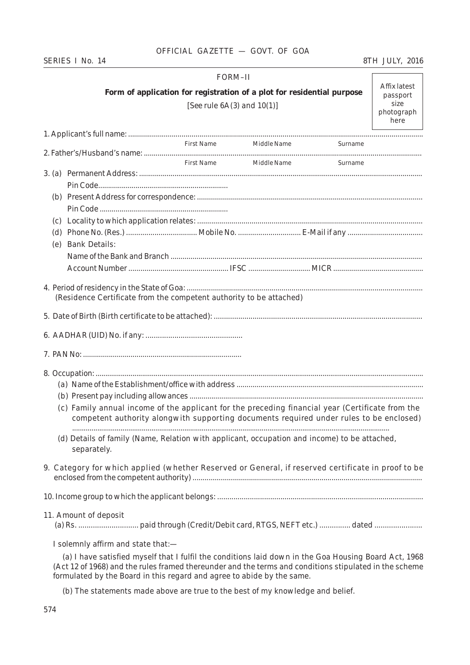# *SERIES I No. 14 8TH JULY, 2016*

# FORM–II **Form of application for registration of a plot for residential purpose** [*See* rule 6A(*3*) and 10(*1*)]

Affix latest passport size photograph here

|     |                                                                                                             |  | First Name Middle Name Surname |                                                                                         |  |  |  |  |  |  |  |
|-----|-------------------------------------------------------------------------------------------------------------|--|--------------------------------|-----------------------------------------------------------------------------------------|--|--|--|--|--|--|--|
|     |                                                                                                             |  | First Name Middle Name Surname |                                                                                         |  |  |  |  |  |  |  |
|     |                                                                                                             |  |                                |                                                                                         |  |  |  |  |  |  |  |
|     |                                                                                                             |  |                                |                                                                                         |  |  |  |  |  |  |  |
|     |                                                                                                             |  |                                |                                                                                         |  |  |  |  |  |  |  |
|     |                                                                                                             |  |                                |                                                                                         |  |  |  |  |  |  |  |
|     |                                                                                                             |  |                                |                                                                                         |  |  |  |  |  |  |  |
| (d) |                                                                                                             |  |                                |                                                                                         |  |  |  |  |  |  |  |
| (e) | <b>Bank Details:</b>                                                                                        |  |                                |                                                                                         |  |  |  |  |  |  |  |
|     |                                                                                                             |  |                                |                                                                                         |  |  |  |  |  |  |  |
|     |                                                                                                             |  |                                |                                                                                         |  |  |  |  |  |  |  |
|     |                                                                                                             |  |                                |                                                                                         |  |  |  |  |  |  |  |
|     |                                                                                                             |  |                                |                                                                                         |  |  |  |  |  |  |  |
|     | (Residence Certificate from the competent authority to be attached)                                         |  |                                |                                                                                         |  |  |  |  |  |  |  |
|     |                                                                                                             |  |                                |                                                                                         |  |  |  |  |  |  |  |
|     |                                                                                                             |  |                                |                                                                                         |  |  |  |  |  |  |  |
|     |                                                                                                             |  |                                |                                                                                         |  |  |  |  |  |  |  |
|     |                                                                                                             |  |                                |                                                                                         |  |  |  |  |  |  |  |
|     |                                                                                                             |  |                                |                                                                                         |  |  |  |  |  |  |  |
|     |                                                                                                             |  |                                |                                                                                         |  |  |  |  |  |  |  |
|     |                                                                                                             |  |                                |                                                                                         |  |  |  |  |  |  |  |
|     | (c) Family annual income of the applicant for the preceding financial year (Certificate from the            |  |                                | competent authority alongwith supporting documents required under rules to be enclosed) |  |  |  |  |  |  |  |
|     | (d) Details of family (Name, Relation with applicant, occupation and income) to be attached,<br>separately. |  |                                |                                                                                         |  |  |  |  |  |  |  |
|     | 9. Category for which applied (whether Reserved or General, if reserved certificate in proof to be          |  |                                |                                                                                         |  |  |  |  |  |  |  |
|     |                                                                                                             |  |                                |                                                                                         |  |  |  |  |  |  |  |
|     | 11. Amount of deposit                                                                                       |  |                                |                                                                                         |  |  |  |  |  |  |  |
|     | I solemnly affirm and state that:-                                                                          |  |                                |                                                                                         |  |  |  |  |  |  |  |

(a) I have satisfied myself that I fulfil the conditions laid down in the Goa Housing Board Act, 1968 (Act 12 of 1968) and the rules framed thereunder and the terms and conditions stipulated in the scheme formulated by the Board in this regard and agree to abide by the same.

(b) The statements made above are true to the best of my knowledge and belief.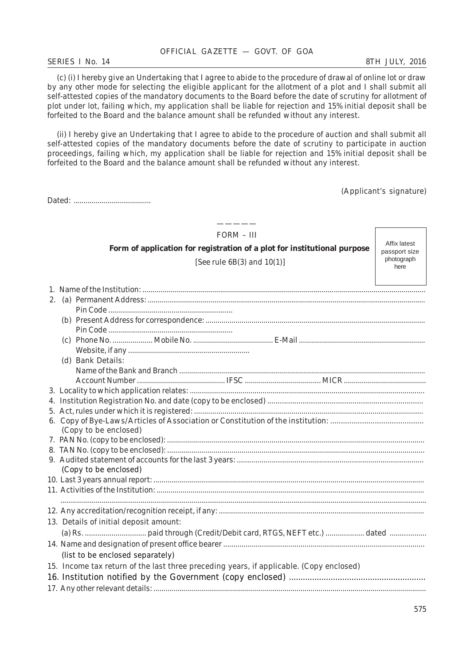#### *SERIES I No. 14 8TH JULY, 2016*

Dated: *.......................................*

(c) (*i*) I hereby give an Undertaking that I agree to abide to the procedure of drawal of online lot or draw by any other mode for selecting the eligible applicant for the allotment of a plot and I shall submit all self-attested copies of the mandatory documents to the Board before the date of scrutiny for allotment of plot under lot, failing which, my application shall be liable for rejection and 15% initial deposit shall be forfeited to the Board and the balance amount shall be refunded without any interest.

(*ii*) I hereby give an Undertaking that I agree to abide to the procedure of auction and shall submit all self-attested copies of the mandatory documents before the date of scrutiny to participate in auction proceedings, failing which, my application shall be liable for rejection and 15% initial deposit shall be forfeited to the Board and the balance amount shall be refunded without any interest.

(Applicant's signature)

| $FORM - III$                                                                            |                             |  |  |  |  |  |  |  |  |  |  |
|-----------------------------------------------------------------------------------------|-----------------------------|--|--|--|--|--|--|--|--|--|--|
| Form of application for registration of a plot for institutional purpose                | Affix latest                |  |  |  |  |  |  |  |  |  |  |
|                                                                                         | passport size<br>photograph |  |  |  |  |  |  |  |  |  |  |
| [See rule 6B(3) and $10(1)$ ]<br>here                                                   |                             |  |  |  |  |  |  |  |  |  |  |
|                                                                                         |                             |  |  |  |  |  |  |  |  |  |  |
|                                                                                         |                             |  |  |  |  |  |  |  |  |  |  |
|                                                                                         |                             |  |  |  |  |  |  |  |  |  |  |
|                                                                                         |                             |  |  |  |  |  |  |  |  |  |  |
|                                                                                         |                             |  |  |  |  |  |  |  |  |  |  |
|                                                                                         |                             |  |  |  |  |  |  |  |  |  |  |
|                                                                                         |                             |  |  |  |  |  |  |  |  |  |  |
|                                                                                         |                             |  |  |  |  |  |  |  |  |  |  |
| (d) Bank Details:                                                                       |                             |  |  |  |  |  |  |  |  |  |  |
|                                                                                         |                             |  |  |  |  |  |  |  |  |  |  |
|                                                                                         |                             |  |  |  |  |  |  |  |  |  |  |
|                                                                                         |                             |  |  |  |  |  |  |  |  |  |  |
|                                                                                         |                             |  |  |  |  |  |  |  |  |  |  |
|                                                                                         |                             |  |  |  |  |  |  |  |  |  |  |
|                                                                                         |                             |  |  |  |  |  |  |  |  |  |  |
| (Copy to be enclosed)                                                                   |                             |  |  |  |  |  |  |  |  |  |  |
|                                                                                         |                             |  |  |  |  |  |  |  |  |  |  |
|                                                                                         |                             |  |  |  |  |  |  |  |  |  |  |
| (Copy to be enclosed)                                                                   |                             |  |  |  |  |  |  |  |  |  |  |
|                                                                                         |                             |  |  |  |  |  |  |  |  |  |  |
|                                                                                         |                             |  |  |  |  |  |  |  |  |  |  |
|                                                                                         |                             |  |  |  |  |  |  |  |  |  |  |
|                                                                                         |                             |  |  |  |  |  |  |  |  |  |  |
| 13. Details of initial deposit amount:                                                  |                             |  |  |  |  |  |  |  |  |  |  |
|                                                                                         |                             |  |  |  |  |  |  |  |  |  |  |
|                                                                                         |                             |  |  |  |  |  |  |  |  |  |  |
| (list to be enclosed separately)                                                        |                             |  |  |  |  |  |  |  |  |  |  |
| 15. Income tax return of the last three preceding years, if applicable. (Copy enclosed) |                             |  |  |  |  |  |  |  |  |  |  |
|                                                                                         |                             |  |  |  |  |  |  |  |  |  |  |
|                                                                                         |                             |  |  |  |  |  |  |  |  |  |  |
|                                                                                         |                             |  |  |  |  |  |  |  |  |  |  |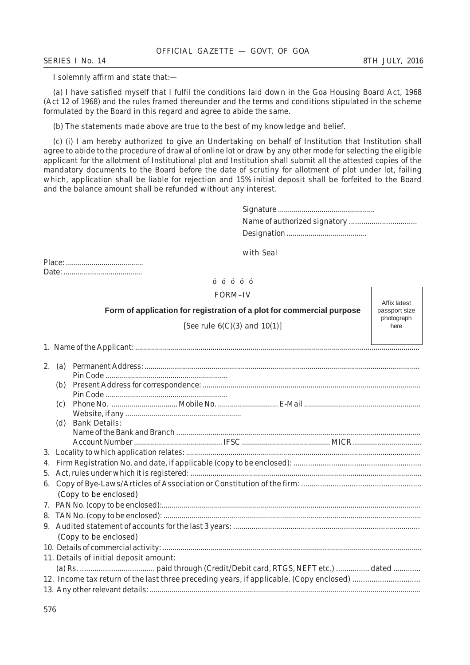I solemnly affirm and state that:—

(a) I have satisfied myself that I fulfil the conditions laid down in the Goa Housing Board Act, 1968 (Act 12 of 1968) and the rules framed thereunder and the terms and conditions stipulated in the scheme formulated by the Board in this regard and agree to abide the same.

(b) The statements made above are true to the best of my knowledge and belief.

(c) (i) I am hereby authorized to give an Undertaking on behalf of Institution that Institution shall agree to abide to the procedure of drawal of online lot or draw by any other mode for selecting the eligible applicant for the allotment of Institutional plot and Institution shall submit all the attested copies of the mandatory documents to the Board before the date of scrutiny for allotment of plot under lot, failing which, application shall be liable for rejection and 15% initial deposit shall be forfeited to the Board and the balance amount shall be refunded without any interest.

with Seal

Place: ....................................... Date: ........................................

# óóóóó

# FORM–IV

**Form of application for registration of a plot for commercial purpose**

Affix latest passport size photograph here

[*See* rule 6(*C*)(*3*) and 10(*1*)]

1. Name of the Applicant: ...............................................................................................................................................

| 2. | (a) |                                        |
|----|-----|----------------------------------------|
|    |     |                                        |
|    |     |                                        |
|    |     |                                        |
|    | (c) |                                        |
|    |     |                                        |
|    | (d) | <b>Bank Details:</b>                   |
|    |     |                                        |
|    |     |                                        |
|    |     |                                        |
| 4. |     |                                        |
|    |     |                                        |
| 6. |     |                                        |
|    |     | (Copy to be enclosed)                  |
|    |     |                                        |
|    |     |                                        |
|    |     |                                        |
|    |     | (Copy to be enclosed)                  |
|    |     |                                        |
|    |     | 11. Details of initial deposit amount: |
|    |     |                                        |
|    |     |                                        |
|    |     |                                        |
|    |     |                                        |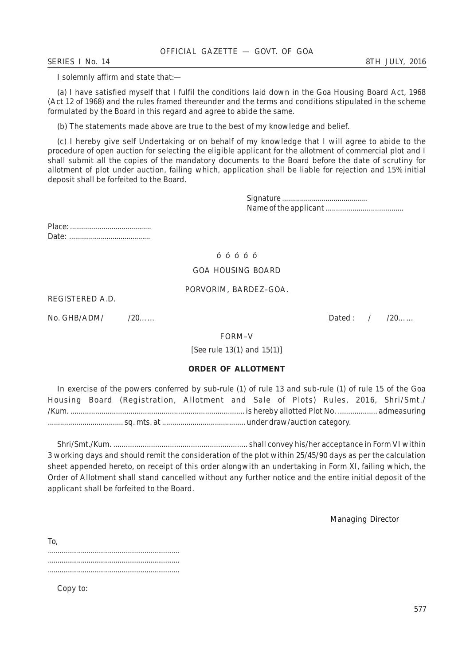*SERIES I No. 14 8TH JULY, 2016*

I solemnly affirm and state that:—

(a) I have satisfied myself that I fulfil the conditions laid down in the Goa Housing Board Act, 1968 (Act 12 of 1968) and the rules framed thereunder and the terms and conditions stipulated in the scheme formulated by the Board in this regard and agree to abide the same.

(b) The statements made above are true to the best of my knowledge and belief.

(c) I hereby give self Undertaking or on behalf of my knowledge that I will agree to abide to the procedure of open auction for selecting the eligible applicant for the allotment of commercial plot and I shall submit all the copies of the mandatory documents to the Board before the date of scrutiny for allotment of plot under auction, failing which, application shall be liable for rejection and 15% initial deposit shall be forfeited to the Board.

> Signature ........................................... Name of the applicant ......................................

Place: ......................................... Date: .........................................

# óóóóó

#### GOA HOUSING BOARD

# PORVORIM, BARDEZ–GOA.

REGISTERED A.D.

No. GHB/ADM/ /20…… Dated : / /20……

# FORM–V

[*See* rule 13(*1*) and 15(*1*)]

# **ORDER OF ALLOTMENT**

In exercise of the powers conferred by sub-rule (*1*) of rule 13 and sub-rule (*1*) of rule 15 of the Goa Housing Board (Registration, Allotment and Sale of Plots) Rules, 2016, Shri/Smt./ /Kum. .................................................................................... is hereby allotted Plot No. ................... admeasuring ..................................... sq. mts. at ......................................... under draw/auction category.

Shri/Smt./Kum. ................................................................ shall convey his/her acceptance in Form VI within 3 working days and should remit the consideration of the plot within 25/45/90 days as per the calculation sheet appended hereto, on receipt of this order alongwith an undertaking in Form XI, failing which, the Order of Allotment shall stand cancelled without any further notice and the entire initial deposit of the applicant shall be forfeited to the Board.

Managing Director

To, .................................................................... ....................................................................

Copy to: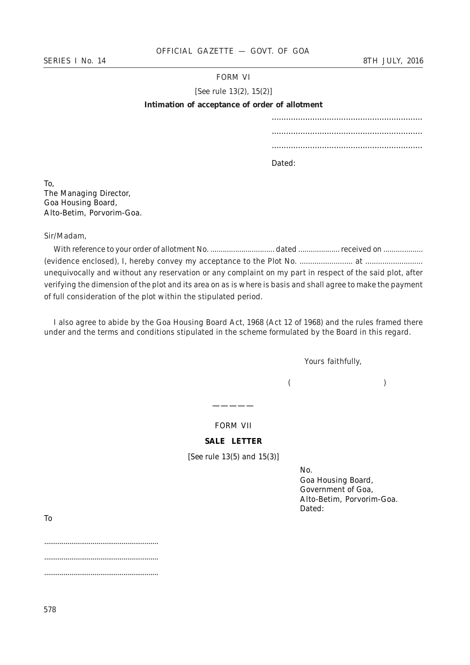# FORM VI

[*See* rule 13(*2*), 15(*2*)]

#### **Intimation of acceptance of order of allotment**

............................................................... ...............................................................

...............................................................

Dated:

To, The Managing Director, Goa Housing Board, Alto-Betim, Porvorim-Goa.

Sir/Madam,

With reference to your order of allotment No. ............................... dated .................... received on ................... (evidence enclosed), I, hereby convey my acceptance to the Plot No. ......................... at ........................... unequivocally and without any reservation or any complaint on my part in respect of the said plot, after verifying the dimension of the plot and its area on as is where is basis and shall agree to make the payment of full consideration of the plot within the stipulated period.

I also agree to abide by the Goa Housing Board Act, 1968 (Act 12 of 1968) and the rules framed there under and the terms and conditions stipulated in the scheme formulated by the Board in this regard.

*Yours faithfully,*

 *( )*

FORM VII

—————

# **SALE LETTER**

[*See* rule 13(*5*) and 15(*3*)]

No.

Goa Housing Board, Government of Goa, Alto-Betim, Porvorim-Goa. Dated:

To

........................................................... ........................................................... ...........................................................

578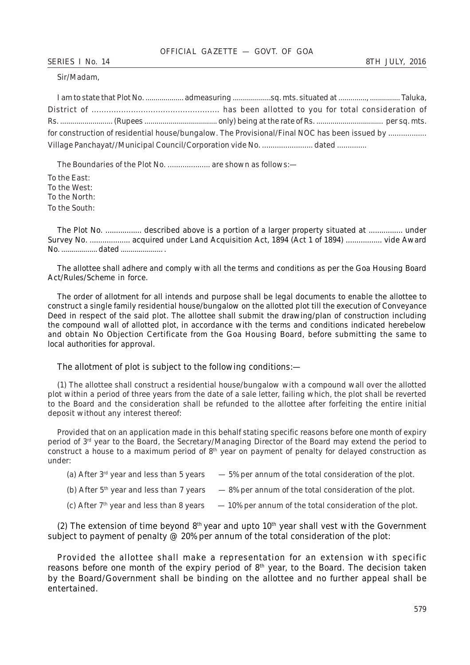Sir/Madam,

| for construction of residential house/bungalow. The Provisional/Final NOC has been issued by |                                                                 |  |  |  |  |  |  |  |  |
|----------------------------------------------------------------------------------------------|-----------------------------------------------------------------|--|--|--|--|--|--|--|--|
|                                                                                              | Village Panchayat//Municipal Council/Corporation vide No. dated |  |  |  |  |  |  |  |  |

The Boundaries of the Plot No. ..................... are shown as follows:-

To the East: To the West: To the North: To the South:

The Plot No. ................. described above is a portion of a larger property situated at ................ under Survey No. ................... acquired under Land Acquisition Act, 1894 (Act 1 of 1894) ................. vide Award No. .................. dated ..................... .

The allottee shall adhere and comply with all the terms and conditions as per the Goa Housing Board Act/Rules/Scheme in force.

The order of allotment for all intends and purpose shall be legal documents to enable the allottee to construct a single family residential house/bungalow on the allotted plot till the execution of Conveyance Deed in respect of the said plot. The allottee shall submit the drawing/plan of construction including the compound wall of allotted plot, in accordance with the terms and conditions indicated herebelow and obtain No Objection Certificate from the Goa Housing Board, before submitting the same to local authorities for approval.

# The allotment of plot is subject to the following conditions:—

(*1*) The allottee shall construct a residential house/bungalow with a compound wall over the allotted plot within a period of three years from the date of a sale letter, failing which, the plot shall be reverted to the Board and the consideration shall be refunded to the allottee after forfeiting the entire initial deposit without any interest thereof:

Provided that on an application made in this behalf stating specific reasons before one month of expiry period of 3rd year to the Board, the Secretary/Managing Director of the Board may extend the period to construct a house to a maximum period of 8<sup>th</sup> year on payment of penalty for delayed construction as under:

- (a) After  $3^{rd}$  year and less than 5 years  $-5%$  per annum of the total consideration of the plot.
- (b) After  $5<sup>th</sup>$  year and less than 7 years 8% per annum of the total consideration of the plot.
- (c) After  $7<sup>th</sup>$  year and less than 8 years  $-10\%$  per annum of the total consideration of the plot.

( $2$ ) The extension of time beyond  $8<sup>th</sup>$  year and upto  $10<sup>th</sup>$  year shall vest with the Government subject to payment of penalty  $\mathcal{Q}$  20% per annum of the total consideration of the plot:

Provided the allottee shall make a representation for an extension with specific reasons before one month of the expiry period of  $8<sup>th</sup>$  year, to the Board. The decision taken by the Board/Government shall be binding on the allottee and no further appeal shall be entertained.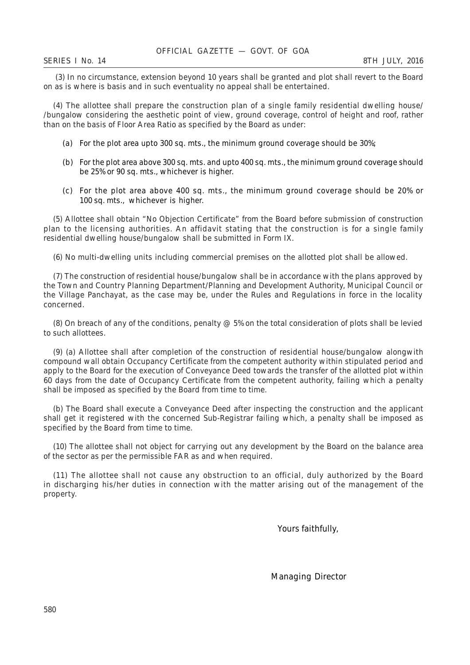(*3*) In no circumstance, extension beyond 10 years shall be granted and plot shall revert to the Board on as is where is basis and in such eventuality no appeal shall be entertained.

(*4*) The allottee shall prepare the construction plan of a single family residential dwelling house/ /bungalow considering the aesthetic point of view, ground coverage, control of height and roof, rather than on the basis of Floor Area Ratio as specified by the Board as under:

- (a) For the plot area upto 300 sq. mts., the minimum ground coverage should be 30%;
- (b) For the plot area above 300 sq. mts. and upto 400 sq. mts., the minimum ground coverage should be 25% or 90 sq. mts., whichever is higher.
- (c) For the plot area above 400 sq. mts., the minimum ground coverage should be 20% or 100 sq. mts., whichever is higher.

(*5*) Allottee shall obtain "No Objection Certificate" from the Board before submission of construction plan to the licensing authorities. An affidavit stating that the construction is for a single family residential dwelling house/bungalow shall be submitted in Form IX.

(*6*) No multi-dwelling units including commercial premises on the allotted plot shall be allowed.

(*7*) The construction of residential house/bungalow shall be in accordance with the plans approved by the Town and Country Planning Department/Planning and Development Authority, Municipal Council or the Village Panchayat, as the case may be, under the Rules and Regulations in force in the locality concerned.

(*8*) On breach of any of the conditions, penalty @ 5% on the total consideration of plots shall be levied to such allottees.

(*9*) (a) Allottee shall after completion of the construction of residential house/bungalow alongwith compound wall obtain Occupancy Certificate from the competent authority within stipulated period and apply to the Board for the execution of Conveyance Deed towards the transfer of the allotted plot within 60 days from the date of Occupancy Certificate from the competent authority, failing which a penalty shall be imposed as specified by the Board from time to time.

(*b*) The Board shall execute a Conveyance Deed after inspecting the construction and the applicant shall get it registered with the concerned Sub-Registrar failing which, a penalty shall be imposed as specified by the Board from time to time.

(*10*) The allottee shall not object for carrying out any development by the Board on the balance area of the sector as per the permissible FAR as and when required.

(*11*) The allottee shall not cause any obstruction to an official, duly authorized by the Board in discharging his/her duties in connection with the matter arising out of the management of the property.

Yours faithfully,

Managing Director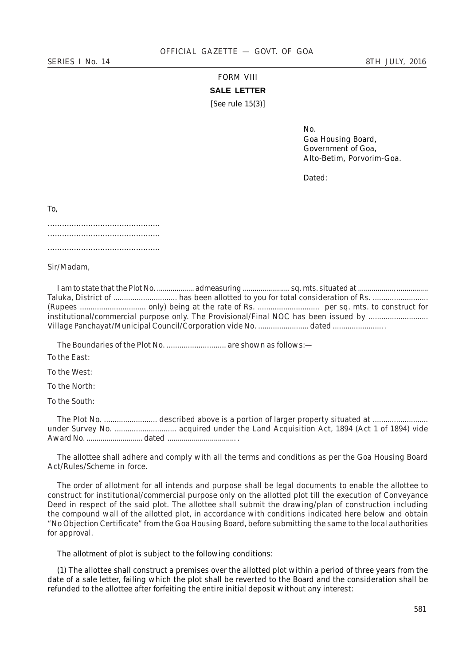# FORM VIII **SALE LETTER** [*See* rule 15(*3*)]

No. Goa Housing Board, Government of Goa, Alto-Betim, Porvorim-Goa.

Dated:

To,

Sir/Madam,

I am to state that the Plot No. ................... admeasuring ........................ sq. mts. situated at .................., ................ Taluka, District of .............................. has been allotted to you for total consideration of Rs. .......................... (Rupees ............................... only) being at the rate of Rs. ............................. per sq. mts. to construct for institutional/commercial purpose only. The Provisional/Final NOC has been issued by .......................... Village Panchayat/Municipal Council/Corporation vide No. ......................... dated .....................

The Boundaries of the Plot No. ............................... are shown as follows:-

To the East:

To the West:

To the North:

To the South:

The Plot No. ......................... described above is a portion of larger property situated at .......................... under Survey No. ............................. acquired under the Land Acquisition Act, 1894 (Act 1 of 1894) vide Award No. ............................ dated .................................. .

The allottee shall adhere and comply with all the terms and conditions as per the Goa Housing Board Act/Rules/Scheme in force.

The order of allotment for all intends and purpose shall be legal documents to enable the allottee to construct for institutional/commercial purpose only on the allotted plot till the execution of Conveyance Deed in respect of the said plot. The allottee shall submit the drawing/plan of construction including the compound wall of the allotted plot, in accordance with conditions indicated here below and obtain "No Objection Certificate" from the Goa Housing Board, before submitting the same to the local authorities for approval.

The allotment of plot is subject to the following conditions:

(*1*) The allottee shall construct a premises over the allotted plot within a period of three years from the date of a sale letter, failing which the plot shall be reverted to the Board and the consideration shall be refunded to the allottee after forfeiting the entire initial deposit without any interest: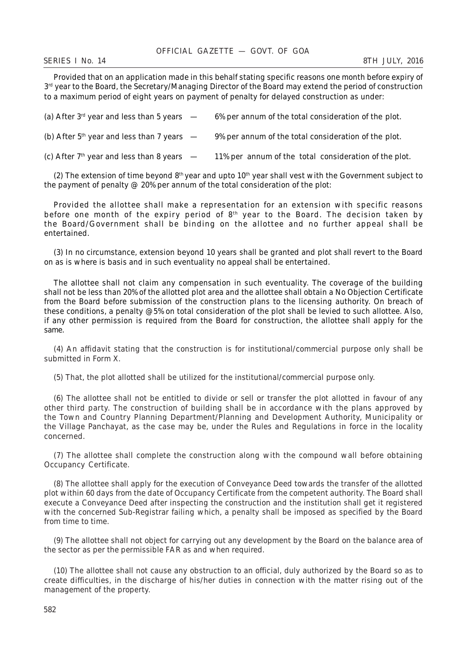Provided that on an application made in this behalf stating specific reasons one month before expiry of  $3<sup>rd</sup>$  year to the Board, the Secretary/Managing Director of the Board may extend the period of construction to a maximum period of eight years on payment of penalty for delayed construction as under:

| (a) After $3^{\text{rd}}$ year and less than 5 years $\phantom{0}$ - | 6% per annum of the total consideration of the plot.  |
|----------------------------------------------------------------------|-------------------------------------------------------|
| (b) After $5th$ year and less than 7 years $-$                       | 9% per annum of the total consideration of the plot.  |
| (c) After $7th$ year and less than 8 years $-$                       | 11% per annum of the total consideration of the plot. |

(2) The extension of time beyond  $8<sup>th</sup>$  year and upto  $10<sup>th</sup>$  year shall vest with the Government subject to the payment of penalty  $\mathcal{Q}$  20% per annum of the total consideration of the plot:

Provided the allottee shall make a representation for an extension with specific reasons before one month of the expiry period of  $8<sup>th</sup>$  year to the Board. The decision taken by the Board/Government shall be binding on the allottee and no further appeal shall be entertained.

(*3*) In no circumstance, extension beyond 10 years shall be granted and plot shall revert to the Board on as is where is basis and in such eventuality no appeal shall be entertained.

The allottee shall not claim any compensation in such eventuality. The coverage of the building shall not be less than 20% of the allotted plot area and the allottee shall obtain a No Objection Certificate from the Board before submission of the construction plans to the licensing authority. On breach of these conditions, a penalty @5% on total consideration of the plot shall be levied to such allottee. Also, if any other permission is required from the Board for construction, the allottee shall apply for the same.

(*4*) An affidavit stating that the construction is for institutional/commercial purpose only shall be submitted in Form X.

(*5*) That, the plot allotted shall be utilized for the institutional/commercial purpose only.

(*6*) The allottee shall not be entitled to divide or sell or transfer the plot allotted in favour of any other third party. The construction of building shall be in accordance with the plans approved by the Town and Country Planning Department/Planning and Development Authority, Municipality or the Village Panchayat, as the case may be, under the Rules and Regulations in force in the locality concerned.

(*7*) The allottee shall complete the construction along with the compound wall before obtaining Occupancy Certificate.

(*8*) The allottee shall apply for the execution of Conveyance Deed towards the transfer of the allotted plot within 60 days from the date of Occupancy Certificate from the competent authority. The Board shall execute a Conveyance Deed after inspecting the construction and the institution shall get it registered with the concerned Sub-Registrar failing which, a penalty shall be imposed as specified by the Board from time to time.

(*9*) The allottee shall not object for carrying out any development by the Board on the balance area of the sector as per the permissible FAR as and when required.

(*10*) The allottee shall not cause any obstruction to an official, duly authorized by the Board so as to create difficulties, in the discharge of his/her duties in connection with the matter rising out of the management of the property.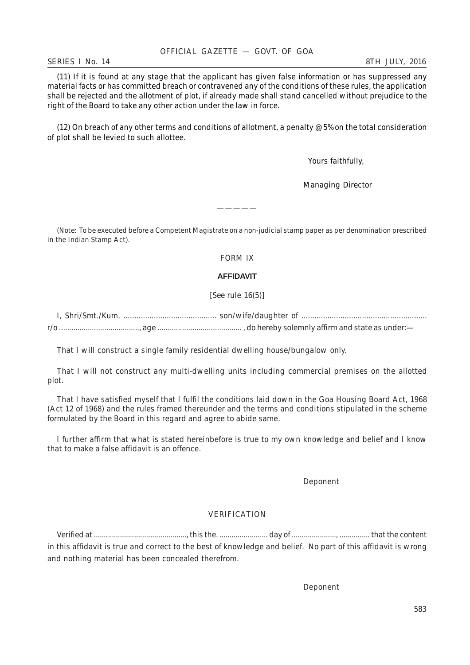#### *SERIES I No. 14 8TH JULY, 2016*

(*11*) If it is found at any stage that the applicant has given false information or has suppressed any material facts or has committed breach or contravened any of the conditions of these rules, the application shall be rejected and the allotment of plot, if already made shall stand cancelled without prejudice to the right of the Board to take any other action under the law in force.

(*12*) On breach of any other terms and conditions of allotment, a penalty @5% on the total consideration of plot shall be levied to such allottee.

Yours faithfully,

Managing Director

*(Note:* To be executed before a Competent Magistrate on a non-judicial stamp paper as per denomination prescribed in the Indian Stamp Act).

—————

FORM IX

# **AFFIDAVIT**

[*See* rule 16(*5*)]

I, Shri/Smt./Kum. ........................................... son/wife/daughter of .......................................................... r/o ......................................., age ......................................... , do hereby solemnly affirm and state as under:—

That I will construct a single family residential dwelling house/bungalow only.

That I will not construct any multi-dwelling units including commercial premises on the allotted plot.

That I have satisfied myself that I fulfil the conditions laid down in the Goa Housing Board Act, 1968 (Act 12 of 1968) and the rules framed thereunder and the terms and conditions stipulated in the scheme formulated by the Board in this regard and agree to abide same.

I further affirm that what is stated hereinbefore is true to my own knowledge and belief and I know that to make a false affidavit is an offence.

Deponent

# VERIFICATION

Verified at .............................................., this the. ........................ day of ......................, ............... that the content in this affidavit is true and correct to the best of knowledge and belief. No part of this affidavit is wrong and nothing material has been concealed therefrom.

Deponent